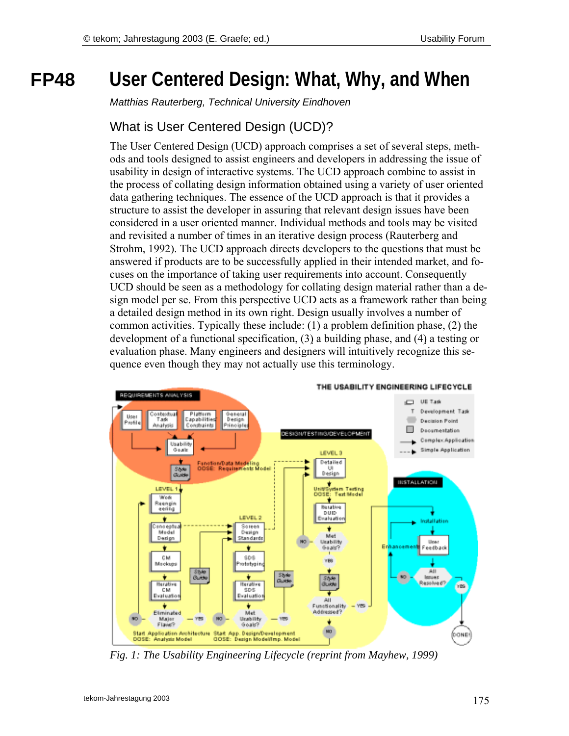# **FP48 User Centered Design: What, Why, and When**

*Matthias Rauterberg, Technical University Eindhoven* 

## What is User Centered Design (UCD)?

The User Centered Design (UCD) approach comprises a set of several steps, methods and tools designed to assist engineers and developers in addressing the issue of usability in design of interactive systems. The UCD approach combine to assist in the process of collating design information obtained using a variety of user oriented data gathering techniques. The essence of the UCD approach is that it provides a structure to assist the developer in assuring that relevant design issues have been considered in a user oriented manner. Individual methods and tools may be visited and revisited a number of times in an iterative design process (Rauterberg and Strohm, 1992). The UCD approach directs developers to the questions that must be answered if products are to be successfully applied in their intended market, and focuses on the importance of taking user requirements into account. Consequently UCD should be seen as a methodology for collating design material rather than a design model per se. From this perspective UCD acts as a framework rather than being a detailed design method in its own right. Design usually involves a number of common activities. Typically these include: (1) a problem definition phase, (2) the development of a functional specification, (3) a building phase, and (4) a testing or evaluation phase. Many engineers and designers will intuitively recognize this sequence even though they may not actually use this terminology.



*Fig. 1: The Usability Engineering Lifecycle (reprint from Mayhew, 1999)*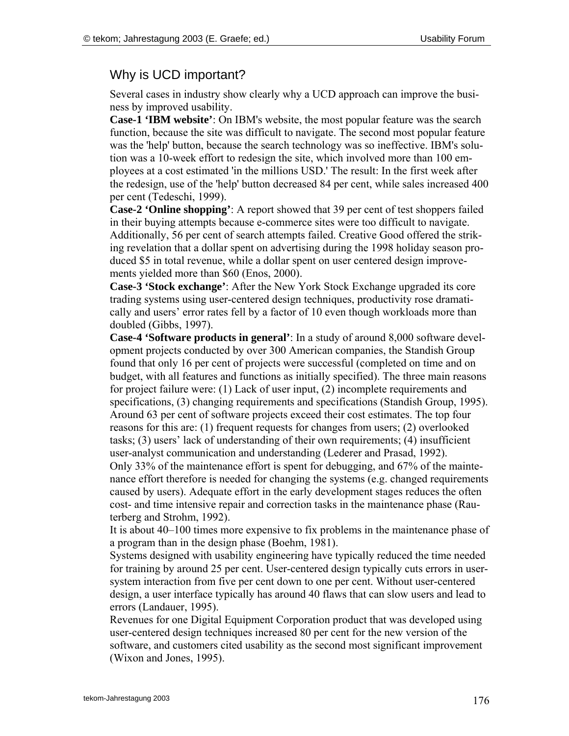#### Why is UCD important?

Several cases in industry show clearly why a UCD approach can improve the business by improved usability.

**Case-1 'IBM website'**: On IBM's website, the most popular feature was the search function, because the site was difficult to navigate. The second most popular feature was the 'help' button, because the search technology was so ineffective. IBM's solution was a 10-week effort to redesign the site, which involved more than 100 employees at a cost estimated 'in the millions USD.' The result: In the first week after the redesign, use of the 'help' button decreased 84 per cent, while sales increased 400 per cent (Tedeschi, 1999).

**Case-2 'Online shopping'**: A report showed that 39 per cent of test shoppers failed in their buying attempts because e-commerce sites were too difficult to navigate. Additionally, 56 per cent of search attempts failed. Creative Good offered the striking revelation that a dollar spent on advertising during the 1998 holiday season produced \$5 in total revenue, while a dollar spent on user centered design improvements yielded more than \$60 (Enos, 2000).

**Case-3 'Stock exchange'**: After the New York Stock Exchange upgraded its core trading systems using user-centered design techniques, productivity rose dramatically and users' error rates fell by a factor of 10 even though workloads more than doubled (Gibbs, 1997).

**Case-4 'Software products in general'**: In a study of around 8,000 software development projects conducted by over 300 American companies, the Standish Group found that only 16 per cent of projects were successful (completed on time and on budget, with all features and functions as initially specified). The three main reasons for project failure were: (1) Lack of user input, (2) incomplete requirements and specifications, (3) changing requirements and specifications (Standish Group, 1995). Around 63 per cent of software projects exceed their cost estimates. The top four reasons for this are: (1) frequent requests for changes from users; (2) overlooked tasks;  $(3)$  users' lack of understanding of their own requirements;  $(4)$  insufficient user-analyst communication and understanding (Lederer and Prasad, 1992).

Only 33% of the maintenance effort is spent for debugging, and 67% of the maintenance effort therefore is needed for changing the systems (e.g. changed requirements caused by users). Adequate effort in the early development stages reduces the often cost- and time intensive repair and correction tasks in the maintenance phase (Rauterberg and Strohm, 1992).

It is about  $40-100$  times more expensive to fix problems in the maintenance phase of a program than in the design phase (Boehm, 1981).

Systems designed with usability engineering have typically reduced the time needed for training by around 25 per cent. User-centered design typically cuts errors in usersystem interaction from five per cent down to one per cent. Without user-centered design, a user interface typically has around 40 flaws that can slow users and lead to errors (Landauer, 1995).

Revenues for one Digital Equipment Corporation product that was developed using user-centered design techniques increased 80 per cent for the new version of the software, and customers cited usability as the second most significant improvement (Wixon and Jones, 1995).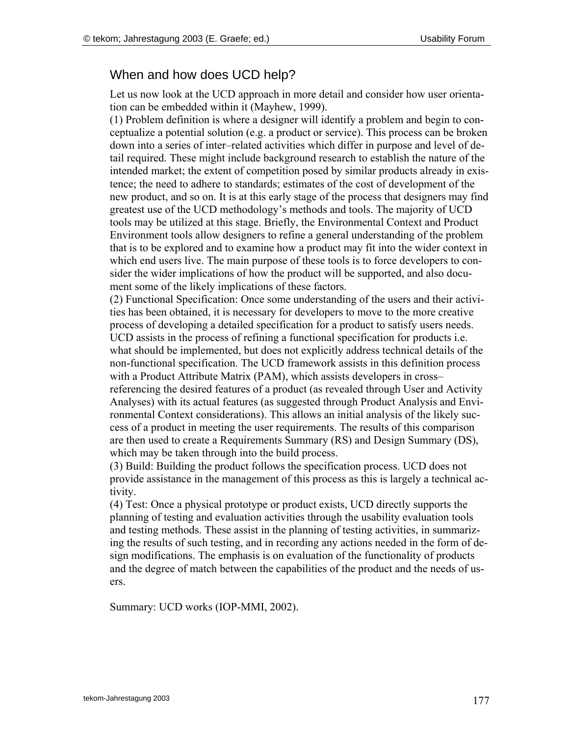### When and how does UCD help?

Let us now look at the UCD approach in more detail and consider how user orientation can be embedded within it (Mayhew, 1999).

(1) Problem definition is where a designer will identify a problem and begin to conceptualize a potential solution (e.g. a product or service). This process can be broken down into a series of inter-related activities which differ in purpose and level of detail required. These might include background research to establish the nature of the intended market; the extent of competition posed by similar products already in existence; the need to adhere to standards; estimates of the cost of development of the new product, and so on. It is at this early stage of the process that designers may find greatest use of the UCD methodology's methods and tools. The majority of UCD tools may be utilized at this stage. Briefly, the Environmental Context and Product Environment tools allow designers to refine a general understanding of the problem that is to be explored and to examine how a product may fit into the wider context in which end users live. The main purpose of these tools is to force developers to consider the wider implications of how the product will be supported, and also document some of the likely implications of these factors.

(2) Functional Specification: Once some understanding of the users and their activities has been obtained, it is necessary for developers to move to the more creative process of developing a detailed specification for a product to satisfy users needs. UCD assists in the process of refining a functional specification for products i.e. what should be implemented, but does not explicitly address technical details of the non-functional specification. The UCD framework assists in this definition process with a Product Attribute Matrix (PAM), which assists developers in cross– referencing the desired features of a product (as revealed through User and Activity Analyses) with its actual features (as suggested through Product Analysis and Environmental Context considerations). This allows an initial analysis of the likely success of a product in meeting the user requirements. The results of this comparison are then used to create a Requirements Summary (RS) and Design Summary (DS), which may be taken through into the build process.

(3) Build: Building the product follows the specification process. UCD does not provide assistance in the management of this process as this is largely a technical activity.

(4) Test: Once a physical prototype or product exists, UCD directly supports the planning of testing and evaluation activities through the usability evaluation tools and testing methods. These assist in the planning of testing activities, in summarizing the results of such testing, and in recording any actions needed in the form of design modifications. The emphasis is on evaluation of the functionality of products and the degree of match between the capabilities of the product and the needs of users.

Summary: UCD works (IOP-MMI, 2002).